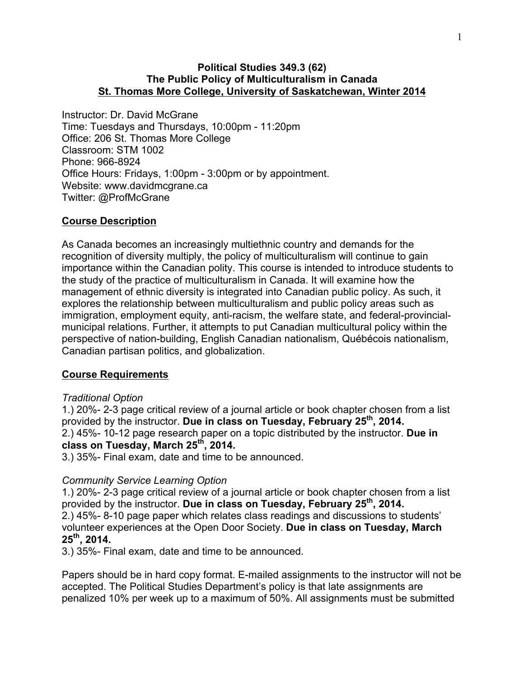### **Political Studies 349.3 (62) The Public Policy of Multiculturalism in Canada St. Thomas More College, University of Saskatchewan, Winter 2014**

Instructor: Dr. David McGrane Time: Tuesdays and Thursdays, 10:00pm - 11:20pm Office: 206 St. Thomas More College Classroom: STM 1002 Phone: 966-8924 Office Hours: Fridays, 1:00pm - 3:00pm or by appointment. Website: www.davidmcgrane.ca Twitter: @ProfMcGrane

### **Course Description**

As Canada becomes an increasingly multiethnic country and demands for the recognition of diversity multiply, the policy of multiculturalism will continue to gain importance within the Canadian polity. This course is intended to introduce students to the study of the practice of multiculturalism in Canada. It will examine how the management of ethnic diversity is integrated into Canadian public policy. As such, it explores the relationship between multiculturalism and public policy areas such as immigration, employment equity, anti-racism, the welfare state, and federal-provincialmunicipal relations. Further, it attempts to put Canadian multicultural policy within the perspective of nation-building, English Canadian nationalism, Québécois nationalism, Canadian partisan politics, and globalization.

#### **Course Requirements**

#### *Traditional Option*

1.) 20%- 2-3 page critical review of a journal article or book chapter chosen from a list provided by the instructor. **Due in class on Tuesday, February 25th, 2014.** 2.) 45%- 10-12 page research paper on a topic distributed by the instructor. **Due in class on Tuesday, March 25th, 2014.** 

3.) 35%- Final exam, date and time to be announced.

#### *Community Service Learning Option*

1.) 20%- 2-3 page critical review of a journal article or book chapter chosen from a list provided by the instructor. **Due in class on Tuesday, February 25th, 2014.**  2.) 45%- 8-10 page paper which relates class readings and discussions to students' volunteer experiences at the Open Door Society. **Due in class on Tuesday, March 25th, 2014.** 

3.) 35%- Final exam, date and time to be announced.

Papers should be in hard copy format. E-mailed assignments to the instructor will not be accepted. The Political Studies Department's policy is that late assignments are penalized 10% per week up to a maximum of 50%. All assignments must be submitted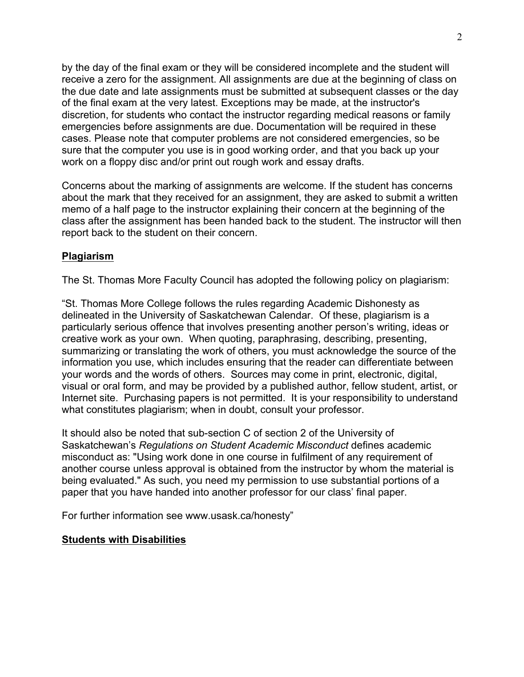by the day of the final exam or they will be considered incomplete and the student will receive a zero for the assignment. All assignments are due at the beginning of class on the due date and late assignments must be submitted at subsequent classes or the day of the final exam at the very latest. Exceptions may be made, at the instructor's discretion, for students who contact the instructor regarding medical reasons or family emergencies before assignments are due. Documentation will be required in these cases. Please note that computer problems are not considered emergencies, so be sure that the computer you use is in good working order, and that you back up your work on a floppy disc and/or print out rough work and essay drafts.

Concerns about the marking of assignments are welcome. If the student has concerns about the mark that they received for an assignment, they are asked to submit a written memo of a half page to the instructor explaining their concern at the beginning of the class after the assignment has been handed back to the student. The instructor will then report back to the student on their concern.

# **Plagiarism**

The St. Thomas More Faculty Council has adopted the following policy on plagiarism:

"St. Thomas More College follows the rules regarding Academic Dishonesty as delineated in the University of Saskatchewan Calendar. Of these, plagiarism is a particularly serious offence that involves presenting another person's writing, ideas or creative work as your own. When quoting, paraphrasing, describing, presenting, summarizing or translating the work of others, you must acknowledge the source of the information you use, which includes ensuring that the reader can differentiate between your words and the words of others. Sources may come in print, electronic, digital, visual or oral form, and may be provided by a published author, fellow student, artist, or Internet site. Purchasing papers is not permitted. It is your responsibility to understand what constitutes plagiarism; when in doubt, consult your professor.

It should also be noted that sub-section C of section 2 of the University of Saskatchewan's *Regulations on Student Academic Misconduct* defines academic misconduct as: "Using work done in one course in fulfilment of any requirement of another course unless approval is obtained from the instructor by whom the material is being evaluated." As such, you need my permission to use substantial portions of a paper that you have handed into another professor for our class' final paper.

For further information see www.usask.ca/honesty"

#### **Students with Disabilities**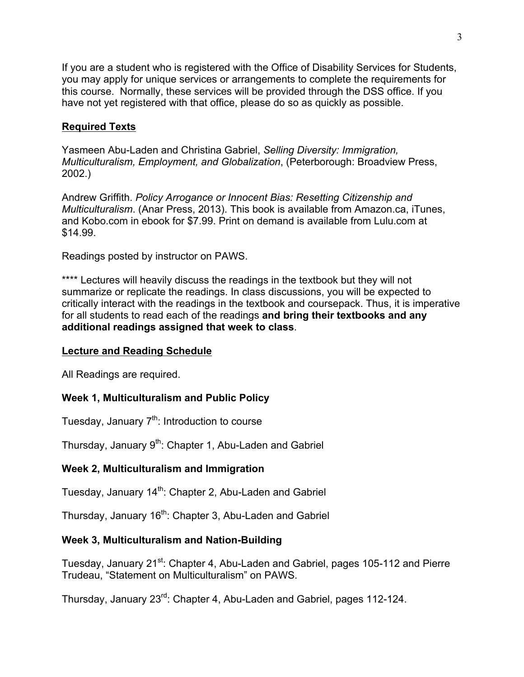If you are a student who is registered with the Office of Disability Services for Students, you may apply for unique services or arrangements to complete the requirements for this course. Normally, these services will be provided through the DSS office. If you have not yet registered with that office, please do so as quickly as possible.

# **Required Texts**

Yasmeen Abu-Laden and Christina Gabriel, *Selling Diversity: Immigration, Multiculturalism, Employment, and Globalization*, (Peterborough: Broadview Press, 2002.)

Andrew Griffith. *Policy Arrogance or Innocent Bias: Resetting Citizenship and Multiculturalism*. (Anar Press, 2013). This book is available from Amazon.ca, iTunes, and Kobo.com in ebook for \$7.99. Print on demand is available from Lulu.com at \$14.99.

Readings posted by instructor on PAWS.

\*\*\*\* Lectures will heavily discuss the readings in the textbook but they will not summarize or replicate the readings. In class discussions, you will be expected to critically interact with the readings in the textbook and coursepack. Thus, it is imperative for all students to read each of the readings **and bring their textbooks and any additional readings assigned that week to class**.

# **Lecture and Reading Schedule**

All Readings are required.

# **Week 1, Multiculturalism and Public Policy**

Tuesday, January  $7<sup>th</sup>$ : Introduction to course

Thursday, January  $9<sup>th</sup>$ : Chapter 1, Abu-Laden and Gabriel

# **Week 2, Multiculturalism and Immigration**

Tuesday, January 14<sup>th</sup>: Chapter 2, Abu-Laden and Gabriel

Thursday, January 16<sup>th</sup>: Chapter 3, Abu-Laden and Gabriel

# **Week 3, Multiculturalism and Nation-Building**

Tuesday, January 21<sup>st</sup>: Chapter 4, Abu-Laden and Gabriel, pages 105-112 and Pierre Trudeau, "Statement on Multiculturalism" on PAWS.

Thursday, January 23rd: Chapter 4, Abu-Laden and Gabriel, pages 112-124.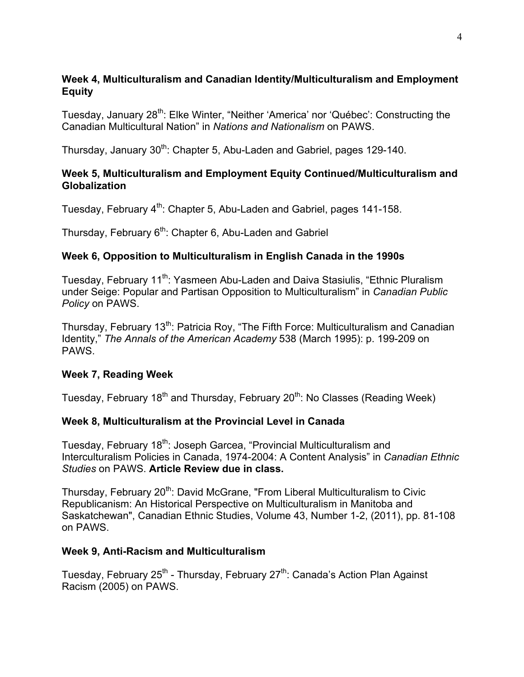# **Week 4, Multiculturalism and Canadian Identity/Multiculturalism and Employment Equity**

Tuesday, January 28<sup>th</sup>: Elke Winter, "Neither 'America' nor 'Québec': Constructing the Canadian Multicultural Nation" in *Nations and Nationalism* on PAWS.

Thursday, January 30<sup>th</sup>: Chapter 5, Abu-Laden and Gabriel, pages 129-140.

# **Week 5, Multiculturalism and Employment Equity Continued/Multiculturalism and Globalization**

Tuesday, February 4<sup>th</sup>: Chapter 5, Abu-Laden and Gabriel, pages 141-158.

Thursday, February 6<sup>th</sup>: Chapter 6, Abu-Laden and Gabriel

# **Week 6, Opposition to Multiculturalism in English Canada in the 1990s**

Tuesday, February 11<sup>th</sup>: Yasmeen Abu-Laden and Daiva Stasiulis, "Ethnic Pluralism under Seige: Popular and Partisan Opposition to Multiculturalism" in *Canadian Public Policy* on PAWS.

Thursday, February 13<sup>th</sup>: Patricia Roy, "The Fifth Force: Multiculturalism and Canadian Identity," *The Annals of the American Academy* 538 (March 1995): p. 199-209 on PAWS.

# **Week 7, Reading Week**

Tuesday, February 18<sup>th</sup> and Thursday, February 20<sup>th</sup>: No Classes (Reading Week)

# **Week 8, Multiculturalism at the Provincial Level in Canada**

Tuesday, February 18<sup>th</sup>: Joseph Garcea, "Provincial Multiculturalism and Interculturalism Policies in Canada, 1974-2004: A Content Analysis" in *Canadian Ethnic Studies* on PAWS. **Article Review due in class.**

Thursday, February 20<sup>th</sup>: David McGrane, "From Liberal Multiculturalism to Civic Republicanism: An Historical Perspective on Multiculturalism in Manitoba and Saskatchewan", Canadian Ethnic Studies, Volume 43, Number 1-2, (2011), pp. 81-108 on PAWS.

# **Week 9, Anti-Racism and Multiculturalism**

Tuesday, February 25<sup>th</sup> - Thursday, February 27<sup>th</sup>: Canada's Action Plan Against Racism (2005) on PAWS.